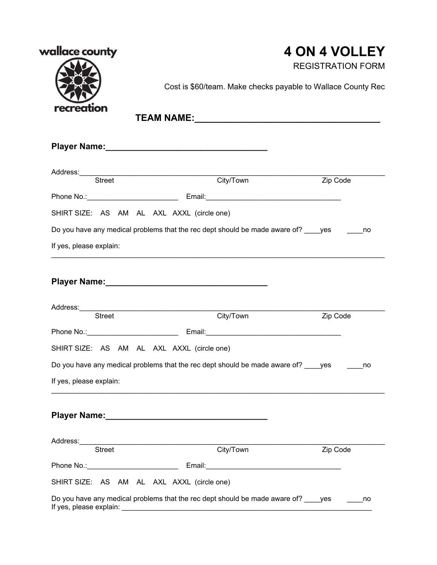| wallace county                             |                                                                                                                | <b>4 ON 4 VOLLEY</b><br><b>REGISTRATION FORM</b> |  |
|--------------------------------------------|----------------------------------------------------------------------------------------------------------------|--------------------------------------------------|--|
|                                            | Cost is \$60/team. Make checks payable to Wallace County Rec                                                   |                                                  |  |
| recreation                                 |                                                                                                                |                                                  |  |
|                                            |                                                                                                                |                                                  |  |
| Street                                     | City/Town                                                                                                      | Zip Code                                         |  |
|                                            |                                                                                                                |                                                  |  |
| SHIRT SIZE: AS AM AL AXL AXXL (circle one) |                                                                                                                |                                                  |  |
|                                            | Do you have any medical problems that the rec dept should be made aware of? ____yes ______no                   |                                                  |  |
| If yes, please explain:                    |                                                                                                                |                                                  |  |
|                                            | Player Name: Manual Manual Manual Manual Manual Manual Manual Manual Manual Manual Manual Manual Manual Manual |                                                  |  |
| <b>Street</b>                              | City/Town                                                                                                      | Zip Code                                         |  |
|                                            |                                                                                                                |                                                  |  |
| SHIRT SIZE: AS AM AL AXL AXXL (circle one) |                                                                                                                |                                                  |  |
|                                            | Do you have any medical problems that the rec dept should be made aware of? ____ yes                           | no                                               |  |
| If yes, please explain:                    |                                                                                                                |                                                  |  |
|                                            |                                                                                                                |                                                  |  |
|                                            | Player Name: Name:                                                                                             |                                                  |  |
|                                            |                                                                                                                |                                                  |  |
| Street                                     | City/Town                                                                                                      | Zip Code                                         |  |
|                                            |                                                                                                                |                                                  |  |
| SHIRT SIZE: AS AM AL AXL AXXL (circle one) | Do you have any medical problems that the rec dept should be made aware of? _____ yes ________ no              |                                                  |  |